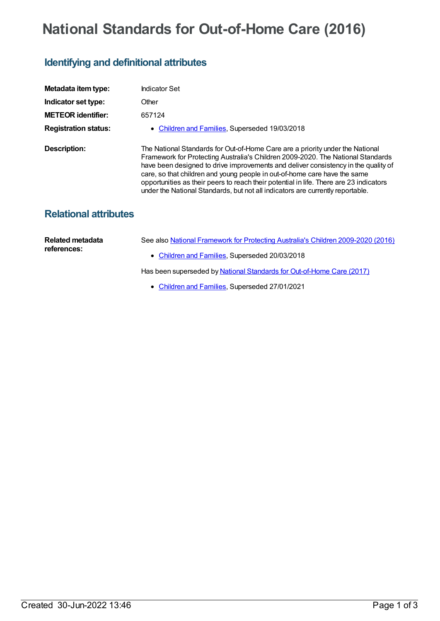## **National Standards for Out-of-Home Care (2016)**

## **Identifying and definitional attributes**

| Metadata item type:          | Indicator Set                                                                                                                                                                                                                                                                                                                                                                                                                                                                                                   |
|------------------------------|-----------------------------------------------------------------------------------------------------------------------------------------------------------------------------------------------------------------------------------------------------------------------------------------------------------------------------------------------------------------------------------------------------------------------------------------------------------------------------------------------------------------|
| Indicator set type:          | Other                                                                                                                                                                                                                                                                                                                                                                                                                                                                                                           |
| <b>METEOR identifier:</b>    | 657124                                                                                                                                                                                                                                                                                                                                                                                                                                                                                                          |
| <b>Registration status:</b>  | • Children and Families, Superseded 19/03/2018                                                                                                                                                                                                                                                                                                                                                                                                                                                                  |
| Description:                 | The National Standards for Out-of-Home Care are a priority under the National<br>Framework for Protecting Australia's Children 2009-2020. The National Standards<br>have been designed to drive improvements and deliver consistency in the quality of<br>care, so that children and young people in out-of-home care have the same<br>opportunities as their peers to reach their potential in life. There are 23 indicators<br>under the National Standards, but not all indicators are currently reportable. |
| <b>Relational attributes</b> |                                                                                                                                                                                                                                                                                                                                                                                                                                                                                                                 |

| Related metadata<br>references: | See also National Framework for Protecting Australia's Children 2009-2020 (2016) |
|---------------------------------|----------------------------------------------------------------------------------|
|                                 | • Children and Families, Superseded 20/03/2018                                   |
|                                 | Has been superseded by National Standards for Out-of-Home Care (2017)            |

• [Children](https://meteor.aihw.gov.au/RegistrationAuthority/17) and Families, Superseded 27/01/2021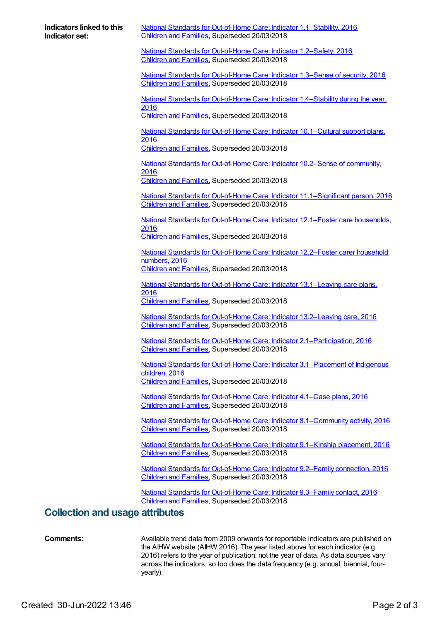| <b>Indicators linked to this</b><br>Indicator set: | National Standards for Out-of-Home Care: Indicator 1.1-Stability, 2016<br>Children and Families, Superseded 20/03/2018           |  |
|----------------------------------------------------|----------------------------------------------------------------------------------------------------------------------------------|--|
|                                                    | National Standards for Out-of-Home Care: Indicator 1.2-Safety, 2016<br>Children and Families, Superseded 20/03/2018              |  |
|                                                    | National Standards for Out-of-Home Care: Indicator 1.3-Sense of security, 2016<br>Children and Families, Superseded 20/03/2018   |  |
|                                                    | National Standards for Out-of-Home Care: Indicator 1.4-Stability during the year,<br>2016                                        |  |
|                                                    | Children and Families, Superseded 20/03/2018                                                                                     |  |
|                                                    | National Standards for Out-of-Home Care: Indicator 10.1-Cultural support plans,<br>2016                                          |  |
|                                                    | Children and Families, Superseded 20/03/2018                                                                                     |  |
|                                                    | National Standards for Out-of-Home Care: Indicator 10.2–Sense of community,<br>2016                                              |  |
|                                                    | Children and Families, Superseded 20/03/2018                                                                                     |  |
|                                                    | National Standards for Out-of-Home Care: Indicator 11.1-Significant person, 2016<br>Children and Families, Superseded 20/03/2018 |  |
|                                                    | National Standards for Out-of-Home Care: Indicator 12.1–Foster care households,                                                  |  |
|                                                    | 2016<br>Children and Families, Superseded 20/03/2018                                                                             |  |
|                                                    | National Standards for Out-of-Home Care: Indicator 12.2-Foster carer household<br>numbers, 2016                                  |  |
|                                                    | Children and Families, Superseded 20/03/2018                                                                                     |  |
|                                                    | National Standards for Out-of-Home Care: Indicator 13.1-Leaving care plans,<br>2016                                              |  |
|                                                    | Children and Families, Superseded 20/03/2018                                                                                     |  |
|                                                    | National Standards for Out-of-Home Care: Indicator 13.2-Leaving care, 2016<br>Children and Families, Superseded 20/03/2018       |  |
|                                                    | National Standards for Out-of-Home Care: Indicator 2.1-Participation, 2016<br>Children and Families, Superseded 20/03/2018       |  |
|                                                    | National Standards for Out-of-Home Care: Indicator 3.1-Placement of Indigenous<br>children, 2016                                 |  |
|                                                    | Children and Families, Superseded 20/03/2018                                                                                     |  |
|                                                    | National Standards for Out-of-Home Care: Indicator 4.1-Case plans, 2016<br>Children and Families, Superseded 20/03/2018          |  |
|                                                    | National Standards for Out-of-Home Care: Indicator 8.1-Community activity, 2016<br>Children and Families, Superseded 20/03/2018  |  |
|                                                    | National Standards for Out-of-Home Care: Indicator 9.1-Kinship placement, 2016<br>Children and Families, Superseded 20/03/2018   |  |
|                                                    | National Standards for Out-of-Home Care: Indicator 9.2–Family connection, 2016<br>Children and Families, Superseded 20/03/2018   |  |
|                                                    | National Standards for Out-of-Home Care: Indicator 9.3-Family contact, 2016<br>Children and Families, Superseded 20/03/2018      |  |
| <b>Collection and usage attributes</b>             |                                                                                                                                  |  |

**Comments:** Available trend data from 2009 onwards for reportable indicators are published on the AIHW website (AIHW 2016). The year listed above for each indicator (e.g. 2016) refers to the year of publication, not the year of data. As data sources vary across the indicators, so too does the data frequency (e.g. annual, biennial, fouryearly).